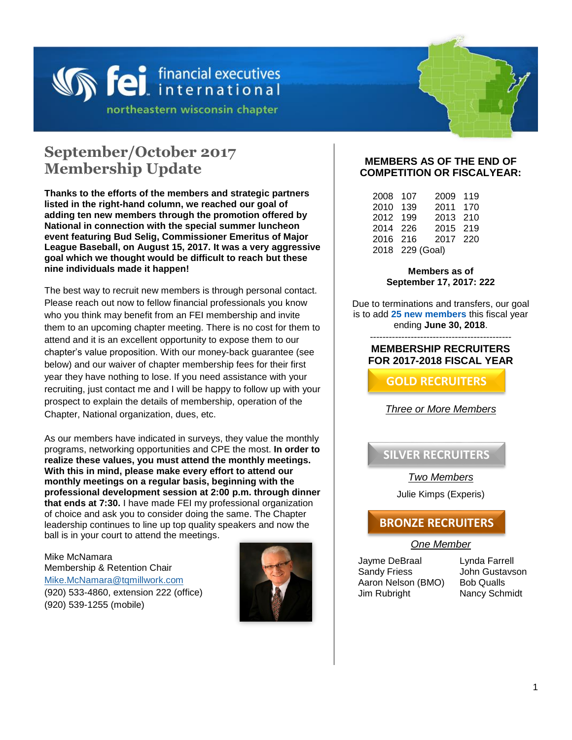

## **September/October 2017 Membership Update**

**Thanks to the efforts of the members and strategic partners listed in the right-hand column, we reached our goal of adding ten new members through the promotion offered by National in connection with the special summer luncheon event featuring Bud Selig, Commissioner Emeritus of Major League Baseball, on August 15, 2017. It was a very aggressive goal which we thought would be difficult to reach but these nine individuals made it happen!** 

The best way to recruit new members is through personal contact. Please reach out now to fellow financial professionals you know who you think may benefit from an FEI membership and invite them to an upcoming chapter meeting. There is no cost for them to attend and it is an excellent opportunity to expose them to our chapter's value proposition. With our money-back guarantee (see below) and our waiver of chapter membership fees for their first year they have nothing to lose. If you need assistance with your recruiting, just contact me and I will be happy to follow up with your prospect to explain the details of membership, operation of the Chapter, National organization, dues, etc.

As our members have indicated in surveys, they value the monthly programs, networking opportunities and CPE the most. **In order to realize these values, you must attend the monthly meetings. With this in mind, please make every effort to attend our monthly meetings on a regular basis, beginning with the professional development session at 2:00 p.m. through dinner that ends at 7:30.** I have made FEI my professional organization of choice and ask you to consider doing the same. The Chapter leadership continues to line up top quality speakers and now the ball is in your court to attend the meetings.

Mike McNamara Membership & Retention Chair [Mike.McNamara@tqmillwork.com](mailto:Mike.McNamara@tqmillwork.com) (920) 533-4860, extension 222 (office) (920) 539-1255 (mobile)



### **MEMBERS AS OF THE END OF COMPETITION OR FISCALYEAR:**

| 2008 107 |                 | 2009     | 119 |
|----------|-----------------|----------|-----|
| 2010     | 139             | 2011     | 170 |
| 2012     | 199             | 2013     | 210 |
| 2014 226 |                 | 2015     | 219 |
| 2016     | 216             | 2017 220 |     |
|          | 2018 229 (Goal) |          |     |

#### **Members as of September 17, 2017: 222**

Due to terminations and transfers, our goal is to add **25 new members** this fiscal year ending **June 30, 2018**.

#### --------------------------------------------- **MEMBERSHIP RECRUITERS FOR 2017-2018 FISCAL YEAR**

**GOLD RECRUITERS**

### *Three or More Members*

**SILVER RECRUITERS**

### *Two Members*

Julie Kimps (Experis)

### **BRONZE RECRUITERS**

### *One Member*

Jayme DeBraal Sandy Friess Aaron Nelson (BMO) Bob Qualls Jim Rubright Nancy Schmidt

Lynda Farrell John Gustavson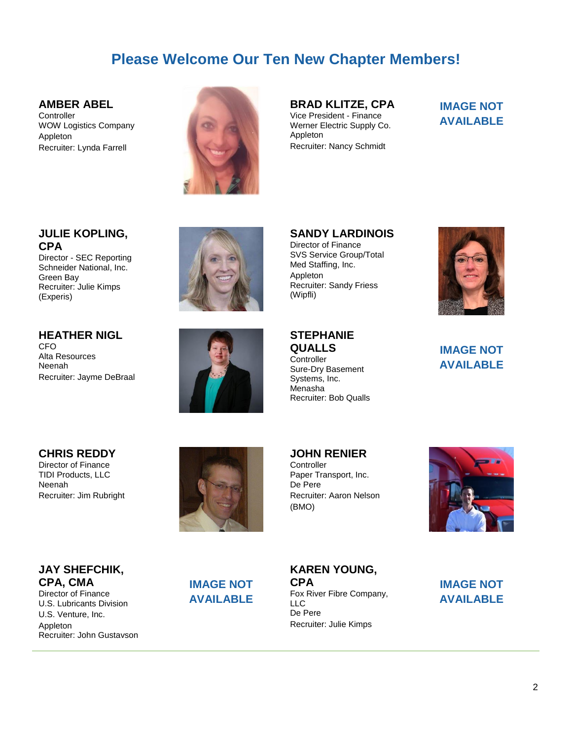## **Please Welcome Our Ten New Chapter Members!**

### **AMBER ABEL**

**Controller** WOW Logistics Company Appleton Recruiter: Lynda Farrell



**BRAD KLITZE, CPA** Vice President - Finance Werner Electric Supply Co. Appleton Recruiter: Nancy Schmidt

### **IMAGE NOT AVAILABLE**

### **JULIE KOPLING, CPA**

Director - SEC Reporting Schneider National, Inc. Green Bay Recruiter: Julie Kimps (Experis)

**HEATHER NIGL**

Recruiter: Jayme DeBraal

Alta Resources Neenah

CFO



**SANDY LARDINOIS** Director of Finance SVS Service Group/Total Med Staffing, Inc. Appleton Recruiter: Sandy Friess (Wipfli)



### **IMAGE NOT AVAILABLE**

# **CHRIS REDDY**

Director of Finance TIDI Products, LLC Neenah Recruiter: Jim Rubright



**JOHN RENIER**

**STEPHANIE QUALLS Controller** 

Sure-Dry Basement Systems, Inc. Menasha

Recruiter: Bob Qualls

**Controller** Paper Transport, Inc. De Pere Recruiter: Aaron Nelson (BMO)



**JAY SHEFCHIK, CPA, CMA**

Director of Finance U.S. Lubricants Division U.S. Venture, Inc. Appleton Recruiter: John Gustavson

## **IMAGE NOT AVAILABLE**

**KAREN YOUNG, CPA** Fox River Fibre Company, LLC De Pere Recruiter: Julie Kimps

**IMAGE NOT AVAILABLE**